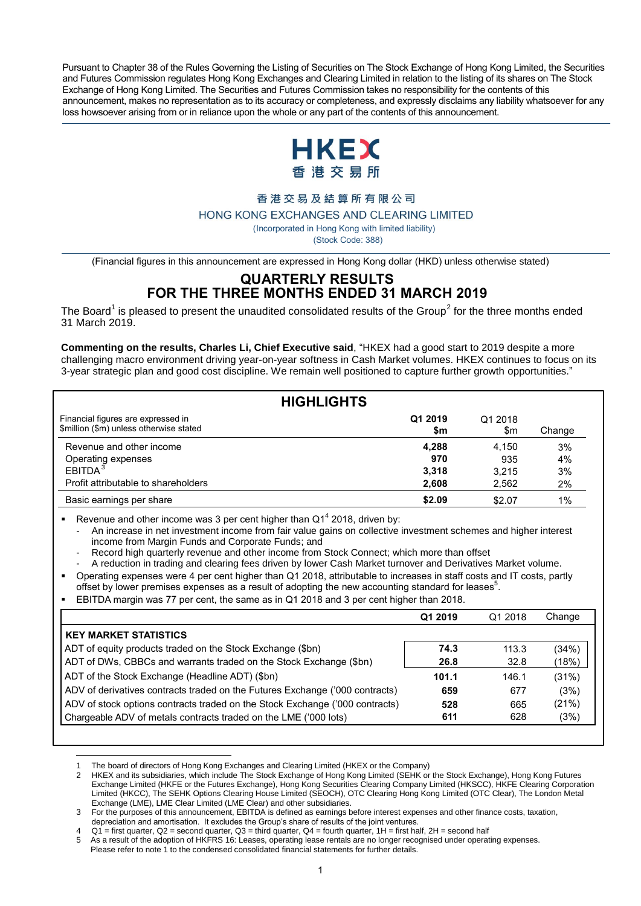Pursuant to Chapter 38 of the Rules Governing the Listing of Securities on The Stock Exchange of Hong Kong Limited, the Securities and Futures Commission regulates Hong Kong Exchanges and Clearing Limited in relation to the listing of its shares on The Stock Exchange of Hong Kong Limited. The Securities and Futures Commission takes no responsibility for the contents of this announcement, makes no representation as to its accuracy or completeness, and expressly disclaims any liability whatsoever for any loss howsoever arising from or in reliance upon the whole or any part of the contents of this announcement.



#### 香港交易及結算所有限公司

HONG KONG EXCHANGES AND CLEARING LIMITED

( Incorporated in Hong Kong with limited liability)

(Stock Code: 388)

(Financial figures in this announcement are expressed in Hong Kong dollar (HKD) unless otherwise stated)

## **QUARTERLY RESULTS FOR THE THREE MONTHS ENDED 31 MARCH 2019**

The Board<sup>1</sup> is pleased to present the unaudited consolidated results of the Group<sup>2</sup> for the three months ended 31 March 2019.

**Commenting on the results, Charles Li, Chief Executive said**, "HKEX had a good start to 2019 despite a more challenging macro environment driving year-on-year softness in Cash Market volumes. HKEX continues to focus on its 3-year strategic plan and good cost discipline. We remain well positioned to capture further growth opportunities."

|                                                                               | <b>HIGHLIGHTS</b> |                |        |
|-------------------------------------------------------------------------------|-------------------|----------------|--------|
| Financial figures are expressed in<br>\$million (\$m) unless otherwise stated | Q1 2019<br>\$m    | Q1 2018<br>\$m | Change |
| Revenue and other income                                                      | 4,288             | 4.150          | 3%     |
| Operating expenses                                                            | 970               | 935            | 4%     |
| EBITDA <sup>3</sup>                                                           | 3.318             | 3.215          | 3%     |
| Profit attributable to shareholders                                           | 2.608             | 2,562          | 2%     |
| Basic earnings per share                                                      | \$2.09            | \$2.07         | $1\%$  |

**Revenue and other income was 3 per cent higher than Q1<sup>4</sup> 2018, driven by:** 

- An increase in net investment income from fair value gains on collective investment schemes and higher interest income from Margin Funds and Corporate Funds; and

- Record high quarterly revenue and other income from Stock Connect; which more than offset
- A reduction in trading and clearing fees driven by lower Cash Market turnover and Derivatives Market volume.

 Operating expenses were 4 per cent higher than Q1 2018, attributable to increases in staff costs and IT costs, partly offset by lower premises expenses as a result of adopting the new accounting standard for leases<sup>5</sup>.

EBITDA margin was 77 per cent, the same as in Q1 2018 and 3 per cent higher than 2018.

| Q1 2019 | Q1 2018 | Change |
|---------|---------|--------|
|         |         |        |
| 74.3    | 113.3   | (34%)  |
| 26.8    | 32.8    | (18%)  |
| 101.1   | 146.1   | (31%)  |
| 659     | 677     | (3%)   |
| 528     | 665     | (21%)  |
| 611     | 628     | (3%)   |
|         |         |        |

 $\overline{a}$ 1 The board of directors of Hong Kong Exchanges and Clearing Limited (HKEX or the Company)

2 HKEX and its subsidiaries, which include The Stock Exchange of Hong Kong Limited (SEHK or the Stock Exchange), Hong Kong Futures Exchange Limited (HKFE or the Futures Exchange), Hong Kong Securities Clearing Company Limited (HKSCC), HKFE Clearing Corporation Limited (HKCC), The SEHK Options Clearing House Limited (SEOCH), OTC Clearing Hong Kong Limited (OTC Clear), The London Metal Exchange (LME), LME Clear Limited (LME Clear) and other subsidiaries.

3 For the purposes of this announcement, EBITDA is defined as earnings before interest expenses and other finance costs, taxation,

depreciation and amortisation. It excludes the Group's share of results of the joint ventures.  $Q1$  = first quarter,  $Q2$  = second quarter,  $Q3$  = third quarter,  $Q4$  = fourth quarter,  $1H$  = first half,  $2H$  = second half

As a result of the adoption of HKFRS 16: Leases, operating lease rentals are no longer recognised under operating expenses.

Please refer to note 1 to the condensed consolidated financial statements for further details.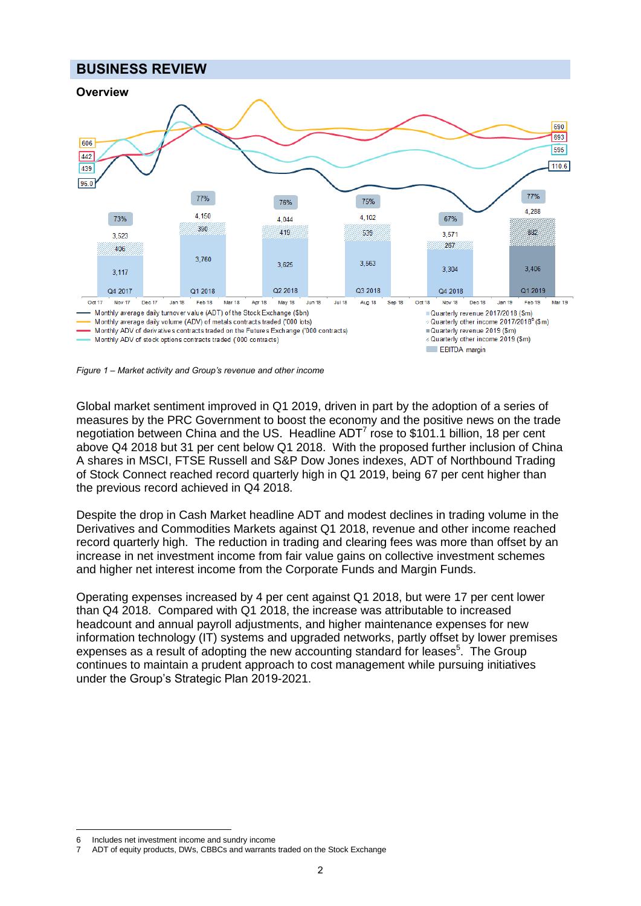## **BUSINESS REVIEW**



*Figure 1 – Market activity and Group's revenue and other income 6*

Global market sentiment improved in Q1 2019, driven in part by the adoption of a series of measures by the PRC Government to boost the economy and the positive news on the trade negotiation between China and the US. Headline ADT<sup>7</sup> rose to \$101.1 billion, 18 per cent above Q4 2018 but 31 per cent below Q1 2018. With the proposed further inclusion of China A shares in MSCI, FTSE Russell and S&P Dow Jones indexes, ADT of Northbound Trading of Stock Connect reached record quarterly high in Q1 2019, being 67 per cent higher than the previous record achieved in Q4 2018.

Despite the drop in Cash Market headline ADT and modest declines in trading volume in the Derivatives and Commodities Markets against Q1 2018, revenue and other income reached record quarterly high. The reduction in trading and clearing fees was more than offset by an increase in net investment income from fair value gains on collective investment schemes and higher net interest income from the Corporate Funds and Margin Funds.

Operating expenses increased by 4 per cent against Q1 2018, but were 17 per cent lower than Q4 2018. Compared with Q1 2018, the increase was attributable to increased headcount and annual payroll adjustments, and higher maintenance expenses for new information technology (IT) systems and upgraded networks, partly offset by lower premises expenses as a result of adopting the new accounting standard for leases<sup>5</sup>. The Group continues to maintain a prudent approach to cost management while pursuing initiatives under the Group's Strategic Plan 2019-2021.

 $\overline{a}$ 6 Includes net investment income and sundry income

<sup>7</sup> ADT of equity products, DWs, CBBCs and warrants traded on the Stock Exchange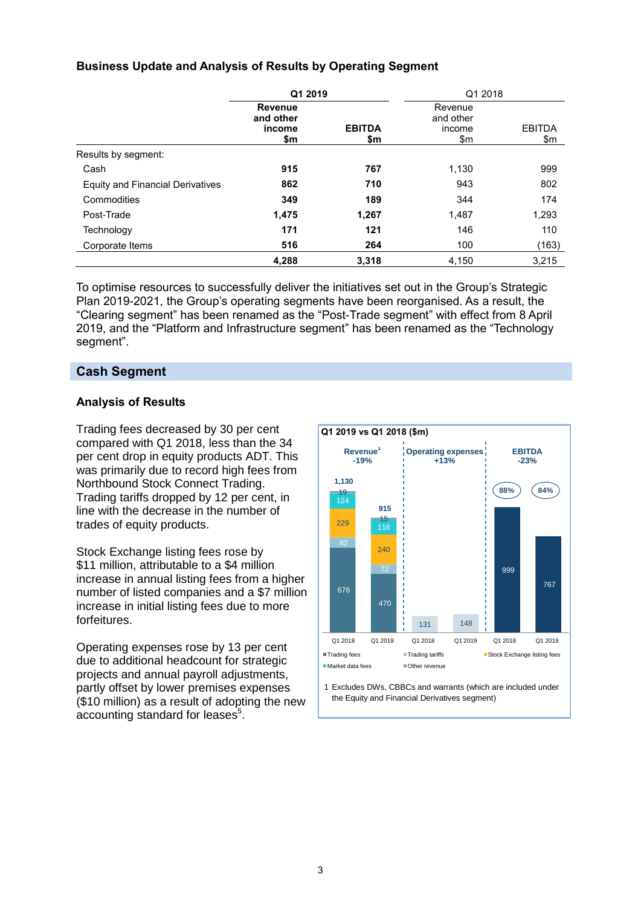## **Business Update and Analysis of Results by Operating Segment**

|                                  | Q1 2019                                      |                      | Q1 2018                               |                      |  |  |
|----------------------------------|----------------------------------------------|----------------------|---------------------------------------|----------------------|--|--|
|                                  | <b>Revenue</b><br>and other<br>income<br>\$m | <b>EBITDA</b><br>\$m | Revenue<br>and other<br>income<br>\$m | <b>EBITDA</b><br>\$m |  |  |
| Results by segment:              |                                              |                      |                                       |                      |  |  |
| Cash                             | 915                                          | 767                  | 1,130                                 | 999                  |  |  |
| Equity and Financial Derivatives | 862                                          | 710                  | 943                                   | 802                  |  |  |
| Commodities                      | 349                                          | 189                  | 344                                   | 174                  |  |  |
| Post-Trade                       | 1,475                                        | 1,267                | 1,487                                 | 1,293                |  |  |
| Technology                       | 171                                          | 121                  | 146                                   | 110                  |  |  |
| Corporate Items                  | 516                                          | 264                  | 100                                   | (163)                |  |  |
|                                  | 4,288                                        | 3,318                | 4,150                                 | 3,215                |  |  |

To optimise resources to successfully deliver the initiatives set out in the Group's Strategic Plan 2019-2021, the Group's operating segments have been reorganised. As a result, the "Clearing segment" has been renamed as the "Post-Trade segment" with effect from 8 April 2019, and the "Platform and Infrastructure segment" has been renamed as the "Technology segment".

## **Cash Segment**

## **Analysis of Results**

Trading fees decreased by 30 per cent compared with Q1 2018, less than the 34 per cent drop in equity products ADT. This was primarily due to record high fees from Northbound Stock Connect Trading. Trading tariffs dropped by 12 per cent, in line with the decrease in the number of trades of equity products.

Stock Exchange listing fees rose by \$11 million, attributable to a \$4 million increase in annual listing fees from a higher number of listed companies and a \$7 million increase in initial listing fees due to more forfeitures.

Operating expenses rose by 13 per cent due to additional headcount for strategic projects and annual payroll adjustments, partly offset by lower premises expenses (\$10 million) as a result of adopting the new accounting standard for leases $5$ .



1 Excludes DWs, CBBCs and warrants (which are included under the Equity and Financial Derivatives segment)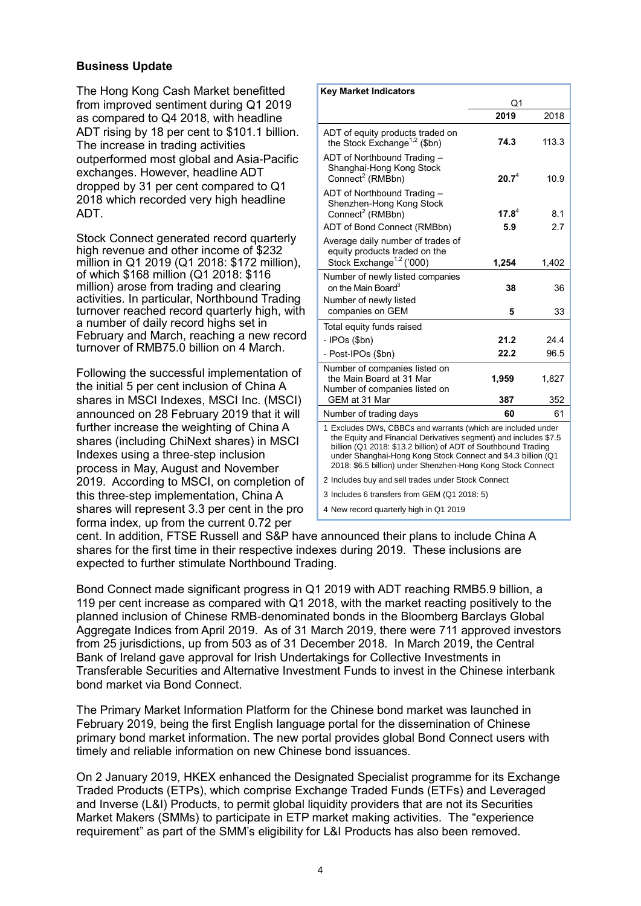### **Business Update**

The Hong Kong Cash Market benefitted from improved sentiment during Q1 2019 as compared to Q4 2018, with headline ADT rising by 18 per cent to \$101.1 billion. The increase in trading activities outperformed most global and Asia-Pacific exchanges. However, headline ADT dropped by 31 per cent compared to Q1 2018 which recorded very high headline ADT.

Stock Connect generated record quarterly high revenue and other income of \$232 million in Q1 2019 (Q1 2018: \$172 million), of which \$168 million (Q1 2018: \$116 million) arose from trading and clearing activities. In particular, Northbound Trading turnover reached record quarterly high, with a number of daily record highs set in February and March, reaching a new record turnover of RMB75.0 billion on 4 March.

Following the successful implementation of the initial 5 per cent inclusion of China A shares in MSCI Indexes, MSCI Inc. (MSCI) announced on 28 February 2019 that it will further increase the weighting of China A shares (including ChiNext shares) in MSCI Indexes using a three-step inclusion process in May, August and November 2019. According to MSCI, on completion of this three-step implementation, China A shares will represent 3.3 per cent in the pro forma index, up from the current 0.72 per

| <b>Key Market Indicators</b>                                                                                                                                                                                                                                                                                                      |                                              |       |  |  |
|-----------------------------------------------------------------------------------------------------------------------------------------------------------------------------------------------------------------------------------------------------------------------------------------------------------------------------------|----------------------------------------------|-------|--|--|
|                                                                                                                                                                                                                                                                                                                                   | Q1                                           |       |  |  |
|                                                                                                                                                                                                                                                                                                                                   | 2019                                         | 2018  |  |  |
| ADT of equity products traded on<br>the Stock Exchange <sup>1,2</sup> (\$bn)                                                                                                                                                                                                                                                      | 74.3                                         | 113.3 |  |  |
| ADT of Northbound Trading -<br>Shanghai-Hong Kong Stock<br>Connect <sup>2</sup> (RMBbn)                                                                                                                                                                                                                                           | $20.7^{4}$                                   | 10.9  |  |  |
| ADT of Northbound Trading -<br>Shenzhen-Hong Kong Stock<br>Connect <sup>2</sup> (RMBbn)                                                                                                                                                                                                                                           | $17.8^{4}$                                   | 8.1   |  |  |
| ADT of Bond Connect (RMBbn)                                                                                                                                                                                                                                                                                                       | 5.9                                          | 2.7   |  |  |
| Average daily number of trades of<br>equity products traded on the<br>Stock Exchange <sup>1,2</sup> ('000)                                                                                                                                                                                                                        | 1,254                                        | 1,402 |  |  |
| Number of newly listed companies                                                                                                                                                                                                                                                                                                  |                                              |       |  |  |
| on the Main Board <sup>3</sup>                                                                                                                                                                                                                                                                                                    | 38                                           | 36    |  |  |
| Number of newly listed                                                                                                                                                                                                                                                                                                            |                                              |       |  |  |
| companies on GEM                                                                                                                                                                                                                                                                                                                  | 5                                            | 33    |  |  |
| Total equity funds raised                                                                                                                                                                                                                                                                                                         |                                              |       |  |  |
| - IPOs (\$bn)                                                                                                                                                                                                                                                                                                                     | 21.2                                         | 24.4  |  |  |
| - Post-IPOs (\$bn)                                                                                                                                                                                                                                                                                                                | 22.2                                         | 96.5  |  |  |
| Number of companies listed on<br>the Main Board at 31 Mar<br>Number of companies listed on                                                                                                                                                                                                                                        | 1,959                                        | 1,827 |  |  |
| GEM at 31 Mar                                                                                                                                                                                                                                                                                                                     | 387                                          | 352   |  |  |
| Number of trading days                                                                                                                                                                                                                                                                                                            | 60                                           | 61    |  |  |
| 1 Excludes DWs, CBBCs and warrants (which are included under<br>the Equity and Financial Derivatives segment) and includes \$7.5<br>billion (Q1 2018: \$13.2 billion) of ADT of Southbound Trading<br>under Shanghai-Hong Kong Stock Connect and \$4.3 billion (Q1<br>2018: \$6.5 billion) under Shenzhen-Hong Kong Stock Connect |                                              |       |  |  |
| 2 Includes buy and sell trades under Stock Connect                                                                                                                                                                                                                                                                                |                                              |       |  |  |
|                                                                                                                                                                                                                                                                                                                                   | 3 Includes 6 transfers from GEM (Q1 2018: 5) |       |  |  |
| 4 New record quarterly high in Q1 2019                                                                                                                                                                                                                                                                                            |                                              |       |  |  |

cent. In addition, FTSE Russell and S&P have announced their plans to include China A shares for the first time in their respective indexes during 2019. These inclusions are expected to further stimulate Northbound Trading.

Bond Connect made significant progress in Q1 2019 with ADT reaching RMB5.9 billion, a 119 per cent increase as compared with Q1 2018, with the market reacting positively to the planned inclusion of Chinese RMB-denominated bonds in the Bloomberg Barclays Global Aggregate Indices from April 2019. As of 31 March 2019, there were 711 approved investors from 25 jurisdictions, up from 503 as of 31 December 2018. In March 2019, the Central Bank of Ireland gave approval for Irish Undertakings for Collective Investments in Transferable Securities and Alternative Investment Funds to invest in the Chinese interbank bond market via Bond Connect.

The Primary Market Information Platform for the Chinese bond market was launched in February 2019, being the first English language portal for the dissemination of Chinese primary bond market information. The new portal provides global Bond Connect users with timely and reliable information on new Chinese bond issuances.

On 2 January 2019, HKEX enhanced the Designated Specialist programme for its Exchange Traded Products (ETPs), which comprise Exchange Traded Funds (ETFs) and Leveraged and Inverse (L&I) Products, to permit global liquidity providers that are not its Securities Market Makers (SMMs) to participate in ETP market making activities. The "experience requirement" as part of the SMM's eligibility for L&I Products has also been removed.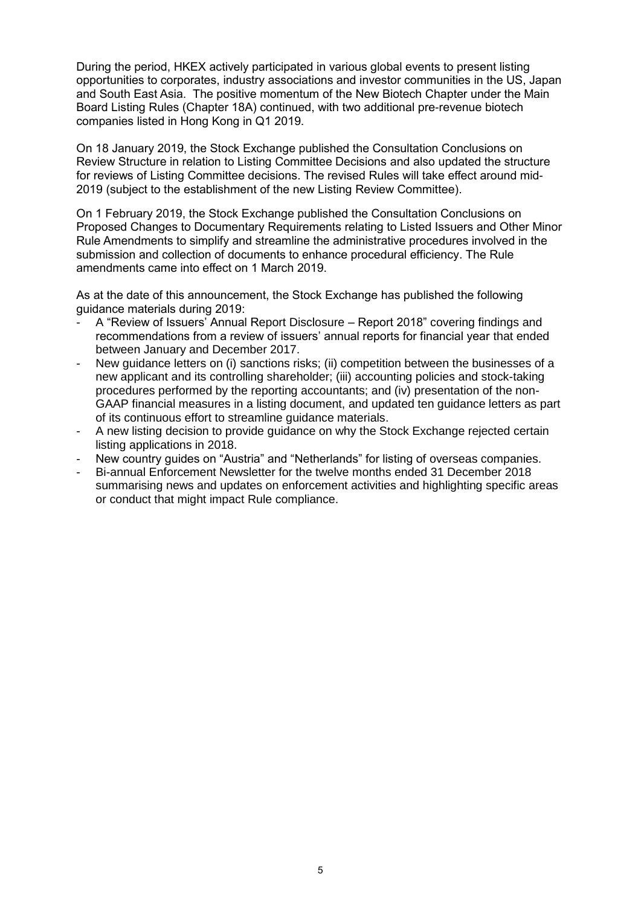During the period, HKEX actively participated in various global events to present listing opportunities to corporates, industry associations and investor communities in the US, Japan and South East Asia. The positive momentum of the New Biotech Chapter under the Main Board Listing Rules (Chapter 18A) continued, with two additional pre-revenue biotech companies listed in Hong Kong in Q1 2019.

On 18 January 2019, the Stock Exchange published the Consultation Conclusions on Review Structure in relation to Listing Committee Decisions and also updated the structure for reviews of Listing Committee decisions. The revised Rules will take effect around mid-2019 (subject to the establishment of the new Listing Review Committee).

On 1 February 2019, the Stock Exchange published the Consultation Conclusions on Proposed Changes to Documentary Requirements relating to Listed Issuers and Other Minor Rule Amendments to simplify and streamline the administrative procedures involved in the submission and collection of documents to enhance procedural efficiency. The Rule amendments came into effect on 1 March 2019.

As at the date of this announcement, the Stock Exchange has published the following guidance materials during 2019:

- A "Review of Issuers' Annual Report Disclosure Report 2018" covering findings and recommendations from a review of issuers' annual reports for financial year that ended between January and December 2017.
- New guidance letters on (i) sanctions risks; (ii) competition between the businesses of a new applicant and its controlling shareholder; (iii) accounting policies and stock-taking procedures performed by the reporting accountants; and (iv) presentation of the non-GAAP financial measures in a listing document, and updated ten guidance letters as part of its continuous effort to streamline guidance materials.
- A new listing decision to provide guidance on why the Stock Exchange rejected certain listing applications in 2018.
- New country quides on "Austria" and "Netherlands" for listing of overseas companies.
- Bi-annual Enforcement Newsletter for the twelve months ended 31 December 2018 summarising news and updates on enforcement activities and highlighting specific areas or conduct that might impact Rule compliance.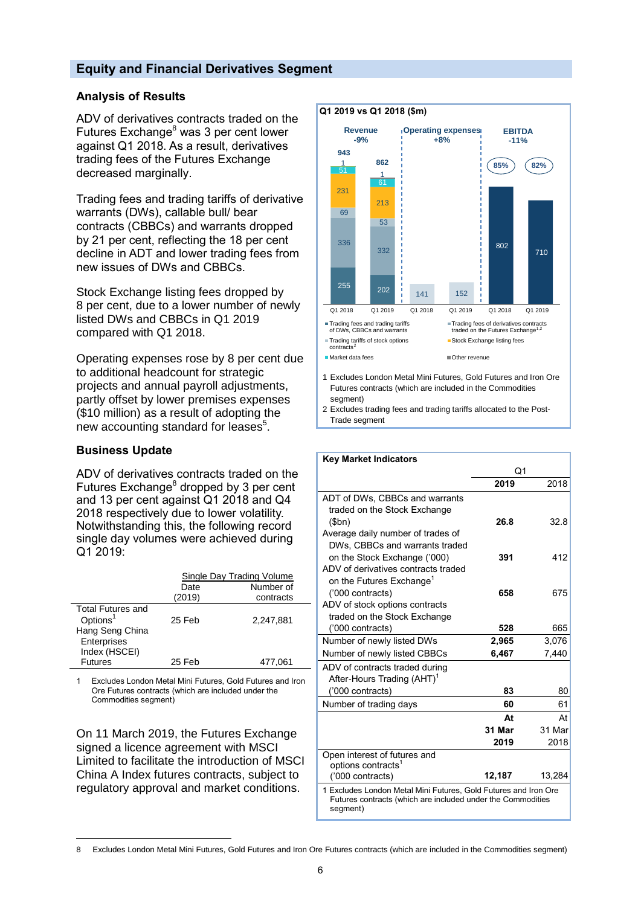## **Equity and Financial Derivatives Segment**

### **Analysis of Results**

ADV of derivatives contracts traded on the Futures Exchange<sup>8</sup> was 3 per cent lower against Q1 2018. As a result, derivatives trading fees of the Futures Exchange decreased marginally.

Trading fees and trading tariffs of derivative warrants (DWs), callable bull/ bear contracts (CBBCs) and warrants dropped by 21 per cent, reflecting the 18 per cent decline in ADT and lower trading fees from new issues of DWs and CBBCs.

Stock Exchange listing fees dropped by 8 per cent, due to a lower number of newly listed DWs and CBBCs in Q1 2019 compared with Q1 2018.

Operating expenses rose by 8 per cent due to additional headcount for strategic projects and annual payroll adjustments, partly offset by lower premises expenses (\$10 million) as a result of adopting the new accounting standard for leases $^5$ .

#### **Business Update**

ADV of derivatives contracts traded on the Futures Exchange<sup>8</sup> dropped by 3 per cent and 13 per cent against Q1 2018 and Q4 2018 respectively due to lower volatility. Notwithstanding this, the following record single day volumes were achieved during Q1 2019:

|                                                                                                     | <b>Single Day Trading Volume</b><br>Number of<br>Date |           |  |
|-----------------------------------------------------------------------------------------------------|-------------------------------------------------------|-----------|--|
|                                                                                                     | (2019)                                                | contracts |  |
| <b>Total Futures and</b><br>Options <sup>1</sup><br>Hang Seng China<br>Enterprises<br>Index (HSCEI) | 25 Feb                                                | 2.247.881 |  |
| <b>Futures</b>                                                                                      | 25 Feb                                                | 477.061   |  |

1 Excludes London Metal Mini Futures, Gold Futures and Iron Ore Futures contracts (which are included under the Commodities segment)

On 11 March 2019, the Futures Exchange signed a licence agreement with MSCI Limited to facilitate the introduction of MSCI China A Index futures contracts, subject to regulatory approval and market conditions.



- Futures contracts (which are included in the Commodities segment)
- 2 Excludes trading fees and trading tariffs allocated to the Post-Trade segment

 **Key Market Indicators** 

| ngy marnet muncators                                                                                                                       |        |        |
|--------------------------------------------------------------------------------------------------------------------------------------------|--------|--------|
|                                                                                                                                            | Q1     |        |
|                                                                                                                                            | 2019   | 2018   |
| ADT of DWs, CBBCs and warrants                                                                                                             |        |        |
| traded on the Stock Exchange                                                                                                               |        |        |
| (5bn)                                                                                                                                      | 26.8   | 32.8   |
| Average daily number of trades of                                                                                                          |        |        |
| DWs. CBBCs and warrants traded                                                                                                             |        |        |
| on the Stock Exchange ('000)                                                                                                               | 391    | 412    |
| ADV of derivatives contracts traded                                                                                                        |        |        |
| on the Futures Exchange <sup>1</sup>                                                                                                       |        |        |
| ('000 contracts)                                                                                                                           | 658    | 675    |
| ADV of stock options contracts                                                                                                             |        |        |
| traded on the Stock Exchange                                                                                                               |        |        |
| ('000 contracts)                                                                                                                           | 528    | 665    |
| Number of newly listed DWs                                                                                                                 | 2,965  | 3,076  |
| Number of newly listed CBBCs                                                                                                               | 6,467  | 7,440  |
| ADV of contracts traded during                                                                                                             |        |        |
| After-Hours Trading (AHT) <sup>1</sup>                                                                                                     |        |        |
| ('000 contracts)                                                                                                                           | 83     | 80     |
| Number of trading days                                                                                                                     | 60     | 61     |
|                                                                                                                                            | At     | At     |
|                                                                                                                                            | 31 Mar | 31 Mar |
|                                                                                                                                            | 2019   | 2018   |
| Open interest of futures and                                                                                                               |        |        |
| options contracts <sup>1</sup>                                                                                                             |        |        |
| ('000 contracts)                                                                                                                           | 12,187 | 13,284 |
| 1 Excludes London Metal Mini Futures, Gold Futures and Iron Ore<br>Futures contracts (which are included under the Commodities<br>segment) |        |        |

 $\overline{a}$ 8 Excludes London Metal Mini Futures, Gold Futures and Iron Ore Futures contracts (which are included in the Commodities segment)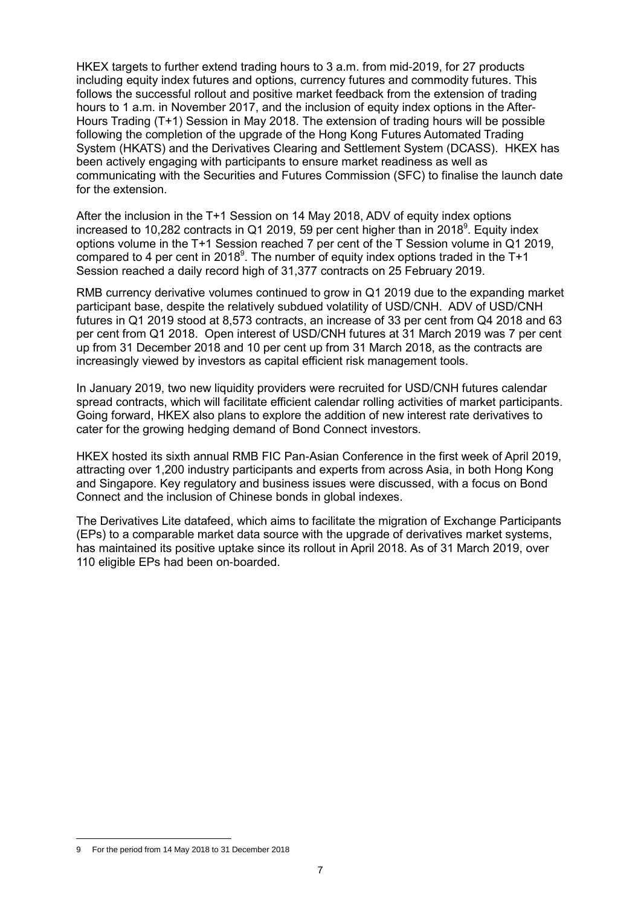HKEX targets to further extend trading hours to 3 a.m. from mid-2019, for 27 products including equity index futures and options, currency futures and commodity futures. This follows the successful rollout and positive market feedback from the extension of trading hours to 1 a.m. in November 2017, and the inclusion of equity index options in the After-Hours Trading (T+1) Session in May 2018. The extension of trading hours will be possible following the completion of the upgrade of the Hong Kong Futures Automated Trading System (HKATS) and the Derivatives Clearing and Settlement System (DCASS). HKEX has been actively engaging with participants to ensure market readiness as well as communicating with the Securities and Futures Commission (SFC) to finalise the launch date for the extension.

After the inclusion in the T+1 Session on 14 May 2018, ADV of equity index options increased to 10,282 contracts in Q1 2019, 59 per cent higher than in 2018<sup>9</sup>. Equity index options volume in the T+1 Session reached 7 per cent of the T Session volume in Q1 2019, compared to 4 per cent in 2018<sup>9</sup>. The number of equity index options traded in the T+1 Session reached a daily record high of 31,377 contracts on 25 February 2019.

RMB currency derivative volumes continued to grow in Q1 2019 due to the expanding market participant base, despite the relatively subdued volatility of USD/CNH. ADV of USD/CNH futures in Q1 2019 stood at 8,573 contracts, an increase of 33 per cent from Q4 2018 and 63 per cent from Q1 2018. Open interest of USD/CNH futures at 31 March 2019 was 7 per cent up from 31 December 2018 and 10 per cent up from 31 March 2018, as the contracts are increasingly viewed by investors as capital efficient risk management tools.

In January 2019, two new liquidity providers were recruited for USD/CNH futures calendar spread contracts, which will facilitate efficient calendar rolling activities of market participants. Going forward, HKEX also plans to explore the addition of new interest rate derivatives to cater for the growing hedging demand of Bond Connect investors.

HKEX hosted its sixth annual RMB FIC Pan-Asian Conference in the first week of April 2019, attracting over 1,200 industry participants and experts from across Asia, in both Hong Kong and Singapore. Key regulatory and business issues were discussed, with a focus on Bond Connect and the inclusion of Chinese bonds in global indexes.

The Derivatives Lite datafeed, which aims to facilitate the migration of Exchange Participants (EPs) to a comparable market data source with the upgrade of derivatives market systems, has maintained its positive uptake since its rollout in April 2018. As of 31 March 2019, over 110 eligible EPs had been on-boarded.

 $\overline{a}$ 9 For the period from 14 May 2018 to 31 December 2018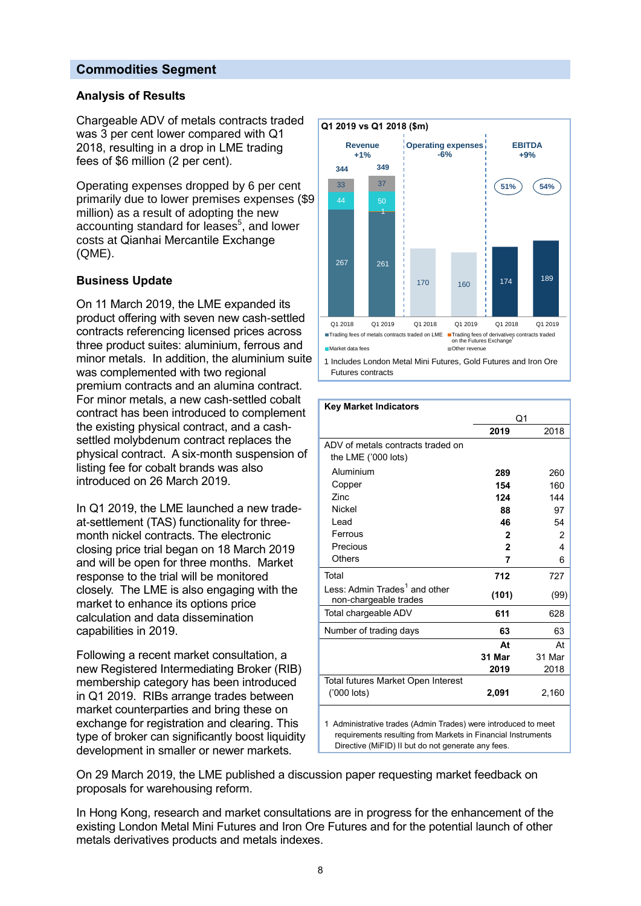## **Commodities Segment**

#### **Analysis of Results**

Chargeable ADV of metals contracts traded was 3 per cent lower compared with Q1 2018, resulting in a drop in LME trading fees of \$6 million (2 per cent).

Operating expenses dropped by 6 per cent primarily due to lower premises expenses (\$9 million) as a result of adopting the new accounting standard for leases<sup>5</sup>, and lower costs at Qianhai Mercantile Exchange (QME).

#### **Business Update**

On 11 March 2019, the LME expanded its product offering with seven new cash-settled contracts referencing licensed prices across three product suites: aluminium, ferrous and minor metals. In addition, the aluminium suite was complemented with two regional premium contracts and an alumina contract. For minor metals, a new cash-settled cobalt contract has been introduced to complement the existing physical contract, and a cashsettled molybdenum contract replaces the physical contract. A six-month suspension of listing fee for cobalt brands was also introduced on 26 March 2019.

In Q1 2019, the LME launched a new tradeat-settlement (TAS) functionality for threemonth nickel contracts. The electronic closing price trial began on 18 March 2019 and will be open for three months. Market response to the trial will be monitored closely. The LME is also engaging with the market to enhance its options price calculation and data dissemination capabilities in 2019.

Following a recent market consultation, a new Registered Intermediating Broker (RIB) membership category has been introduced in Q1 2019. RIBs arrange trades between market counterparties and bring these on exchange for registration and clearing. This type of broker can significantly boost liquidity development in smaller or newer markets.



Futures contracts

| <b>Key Market Indicators</b>                                       |                |        |  |  |
|--------------------------------------------------------------------|----------------|--------|--|--|
|                                                                    | Q <sub>1</sub> |        |  |  |
|                                                                    | 2019           | 2018   |  |  |
| ADV of metals contracts traded on                                  |                |        |  |  |
| the LME ('000 lots)                                                |                |        |  |  |
| Aluminium                                                          | 289            | 260    |  |  |
| Copper                                                             | 154            | 160    |  |  |
| Zinc.                                                              | 124            | 144    |  |  |
| <b>Nickel</b>                                                      | 88             | 97     |  |  |
| Lead                                                               | 46             | 54     |  |  |
| Ferrous                                                            | $\mathbf{2}$   | 2      |  |  |
| Precious                                                           | $\mathbf{2}$   | 4      |  |  |
| <b>Others</b>                                                      | 7              | 6      |  |  |
| Total                                                              | 712            | 727    |  |  |
| Less: Admin Trades <sup>1</sup> and other<br>non-chargeable trades | (101)          | (99)   |  |  |
| Total chargeable ADV                                               | 611            | 628    |  |  |
| Number of trading days                                             | 63             | 63     |  |  |
|                                                                    | At             | At     |  |  |
|                                                                    | 31 Mar         | 31 Mar |  |  |
|                                                                    | 2019           | 2018   |  |  |
| Total futures Market Open Interest                                 |                |        |  |  |
| ('000 lots)                                                        | 2,091          | 2,160  |  |  |
| 1 Administrative trades (Admin Trades) were introduced to meet     |                |        |  |  |

requirements resulting from Markets in Financial Instruments Directive (MiFID) II but do not generate any fees.

On 29 March 2019, the LME published a discussion paper requesting market feedback on proposals for warehousing reform.

In Hong Kong, research and market consultations are in progress for the enhancement of the existing London Metal Mini Futures and Iron Ore Futures and for the potential launch of other metals derivatives products and metals indexes.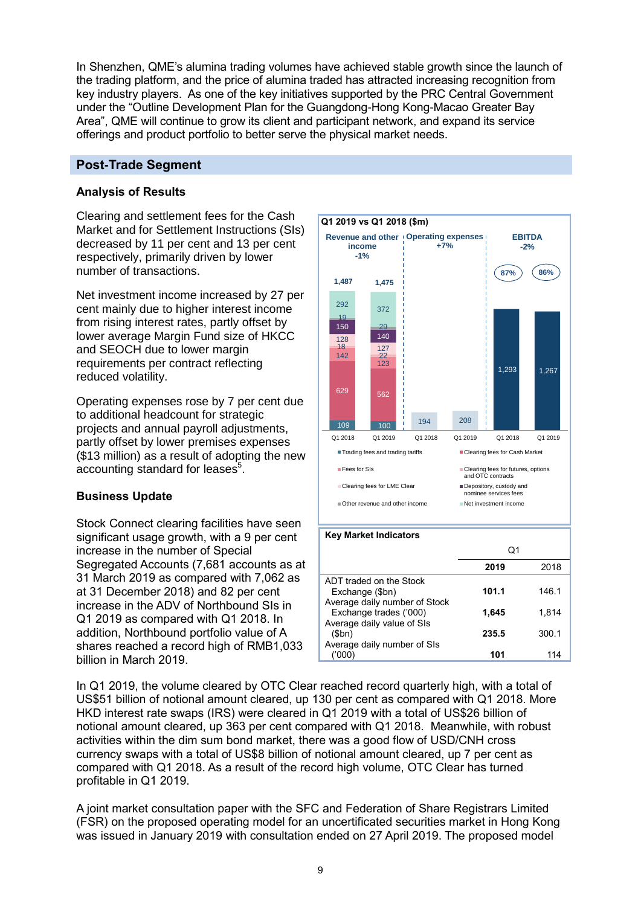In Shenzhen, QME's alumina trading volumes have achieved stable growth since the launch of the trading platform, and the price of alumina traded has attracted increasing recognition from key industry players. As one of the key initiatives supported by the PRC Central Government under the "Outline Development Plan for the Guangdong-Hong Kong-Macao Greater Bay Area", QME will continue to grow its client and participant network, and expand its service offerings and product portfolio to better serve the physical market needs.

## **Post-Trade Segment**

## **Analysis of Results**

Clearing and settlement fees for the Cash Market and for Settlement Instructions (SIs) decreased by 11 per cent and 13 per cent respectively, primarily driven by lower number of transactions.

Net investment income increased by 27 per cent mainly due to higher interest income from rising interest rates, partly offset by lower average Margin Fund size of HKCC and SEOCH due to lower margin requirements per contract reflecting reduced volatility.

Operating expenses rose by 7 per cent due to additional headcount for strategic projects and annual payroll adjustments, partly offset by lower premises expenses (\$13 million) as a result of adopting the new accounting standard for leases $^5$ .

## **Business Update**

Stock Connect clearing facilities have seen significant usage growth, with a 9 per cent increase in the number of Special Segregated Accounts (7,681 accounts as at 31 March 2019 as compared with 7,062 as at 31 December 2018) and 82 per cent increase in the ADV of Northbound SIs in Q1 2019 as compared with Q1 2018. In addition, Northbound portfolio value of A shares reached a record high of RMB1,033 billion in March 2019.



In Q1 2019, the volume cleared by OTC Clear reached record quarterly high, with a total of US\$51 billion of notional amount cleared, up 130 per cent as compared with Q1 2018. More HKD interest rate swaps (IRS) were cleared in Q1 2019 with a total of US\$26 billion of notional amount cleared, up 363 per cent compared with Q1 2018. Meanwhile, with robust activities within the dim sum bond market, there was a good flow of USD/CNH cross currency swaps with a total of US\$8 billion of notional amount cleared, up 7 per cent as compared with Q1 2018. As a result of the record high volume, OTC Clear has turned profitable in Q1 2019.

A joint market consultation paper with the SFC and Federation of Share Registrars Limited (FSR) on the proposed operating model for an uncertificated securities market in Hong Kong was issued in January 2019 with consultation ended on 27 April 2019. The proposed model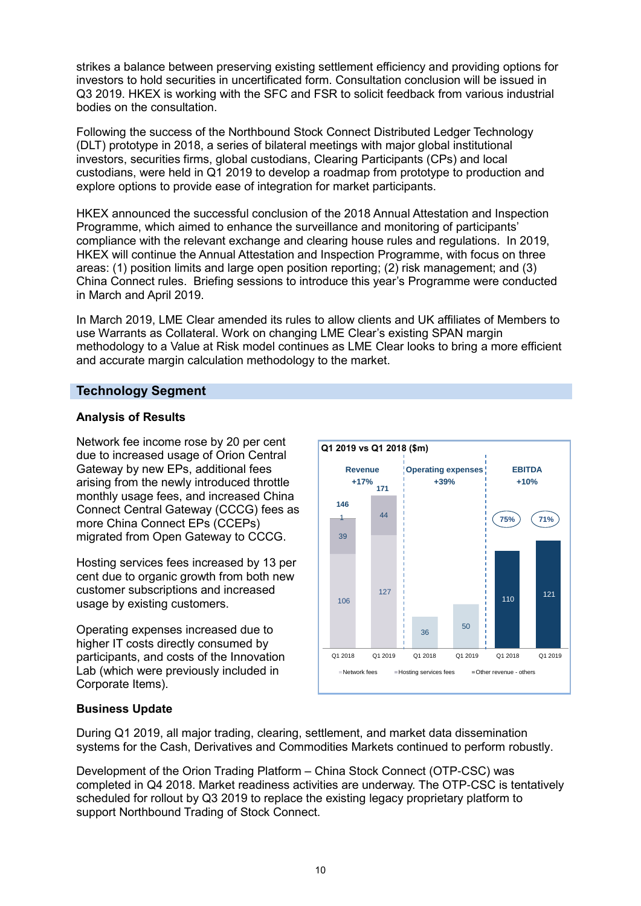strikes a balance between preserving existing settlement efficiency and providing options for investors to hold securities in uncertificated form. Consultation conclusion will be issued in Q3 2019. HKEX is working with the SFC and FSR to solicit feedback from various industrial bodies on the consultation.

Following the success of the Northbound Stock Connect Distributed Ledger Technology (DLT) prototype in 2018, a series of bilateral meetings with major global institutional investors, securities firms, global custodians, Clearing Participants (CPs) and local custodians, were held in Q1 2019 to develop a roadmap from prototype to production and explore options to provide ease of integration for market participants.

HKEX announced the successful conclusion of the 2018 Annual Attestation and Inspection Programme, which aimed to enhance the surveillance and monitoring of participants' compliance with the relevant exchange and clearing house rules and regulations. In 2019, HKEX will continue the Annual Attestation and Inspection Programme, with focus on three areas: (1) position limits and large open position reporting; (2) risk management; and (3) China Connect rules. Briefing sessions to introduce this year's Programme were conducted in March and April 2019.

In March 2019, LME Clear amended its rules to allow clients and UK affiliates of Members to use Warrants as Collateral. Work on changing LME Clear's existing SPAN margin methodology to a Value at Risk model continues as LME Clear looks to bring a more efficient and accurate margin calculation methodology to the market.

## **Technology Segment**

## **Analysis of Results**

Network fee income rose by 20 per cent due to increased usage of Orion Central Gateway by new EPs, additional fees arising from the newly introduced throttle monthly usage fees, and increased China Connect Central Gateway (CCCG) fees as more China Connect EPs (CCEPs) migrated from Open Gateway to CCCG.

Hosting services fees increased by 13 per cent due to organic growth from both new customer subscriptions and increased usage by existing customers.

Operating expenses increased due to higher IT costs directly consumed by participants, and costs of the Innovation Lab (which were previously included in Corporate Items).



## **Business Update**

During Q1 2019, all major trading, clearing, settlement, and market data dissemination systems for the Cash, Derivatives and Commodities Markets continued to perform robustly.

Development of the Orion Trading Platform – China Stock Connect (OTP-CSC) was completed in Q4 2018. Market readiness activities are underway. The OTP-CSC is tentatively scheduled for rollout by Q3 2019 to replace the existing legacy proprietary platform to support Northbound Trading of Stock Connect.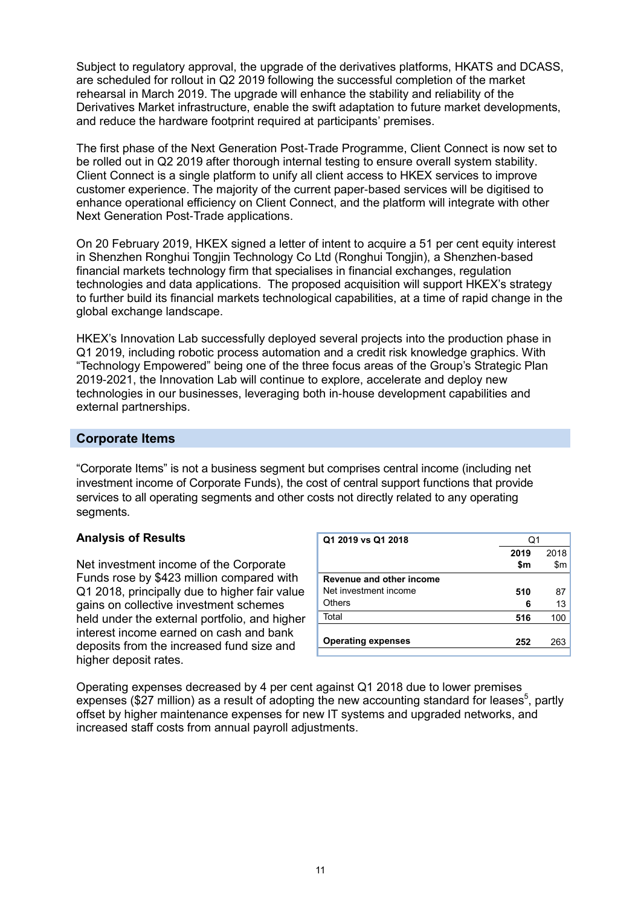Subject to regulatory approval, the upgrade of the derivatives platforms, HKATS and DCASS, are scheduled for rollout in Q2 2019 following the successful completion of the market rehearsal in March 2019. The upgrade will enhance the stability and reliability of the Derivatives Market infrastructure, enable the swift adaptation to future market developments, and reduce the hardware footprint required at participants' premises.

The first phase of the Next Generation Post-Trade Programme, Client Connect is now set to be rolled out in Q2 2019 after thorough internal testing to ensure overall system stability. Client Connect is a single platform to unify all client access to HKEX services to improve customer experience. The majority of the current paper-based services will be digitised to enhance operational efficiency on Client Connect, and the platform will integrate with other Next Generation Post-Trade applications.

On 20 February 2019, HKEX signed a letter of intent to acquire a 51 per cent equity interest in Shenzhen Ronghui Tongjin Technology Co Ltd (Ronghui Tongjin), a Shenzhen-based financial markets technology firm that specialises in financial exchanges, regulation technologies and data applications. The proposed acquisition will support HKEX's strategy to further build its financial markets technological capabilities, at a time of rapid change in the global exchange landscape.

HKEX's Innovation Lab successfully deployed several projects into the production phase in Q1 2019, including robotic process automation and a credit risk knowledge graphics. With "Technology Empowered" being one of the three focus areas of the Group's Strategic Plan 2019-2021, the Innovation Lab will continue to explore, accelerate and deploy new technologies in our businesses, leveraging both in-house development capabilities and external partnerships.

## **Corporate Items**

"Corporate Items" is not a business segment but comprises central income (including net investment income of Corporate Funds), the cost of central support functions that provide services to all operating segments and other costs not directly related to any operating segments.

#### **Analysis of Results**

Net investment income of the Corporate Funds rose by \$423 million compared with Q1 2018, principally due to higher fair value gains on collective investment schemes held under the external portfolio, and higher interest income earned on cash and bank deposits from the increased fund size and higher deposit rates.

| Q1 2019 vs Q1 2018        | Q1   |      |  |
|---------------------------|------|------|--|
|                           | 2019 | 2018 |  |
|                           | \$m  | \$m  |  |
| Revenue and other income  |      |      |  |
| Net investment income     | 510  | 87   |  |
| <b>Others</b>             | 6    | 13   |  |
| Total                     | 516  | 100  |  |
|                           |      |      |  |
| <b>Operating expenses</b> | 252  | 263  |  |
|                           |      |      |  |

Operating expenses decreased by 4 per cent against Q1 2018 due to lower premises expenses (\$27 million) as a result of adopting the new accounting standard for leases<sup>5</sup>, partly offset by higher maintenance expenses for new IT systems and upgraded networks, and increased staff costs from annual payroll adjustments.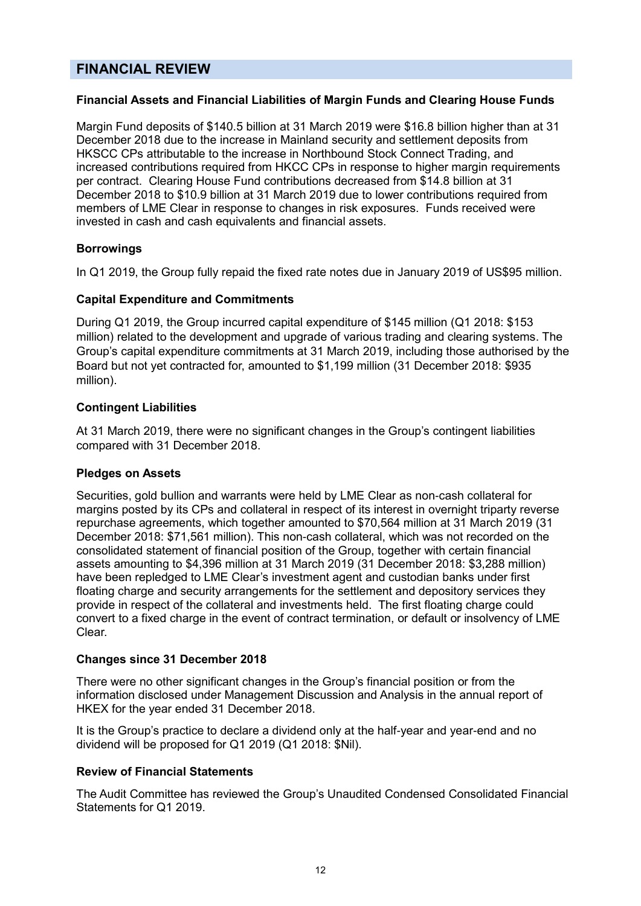## **FINANCIAL REVIEW**

### **Financial Assets and Financial Liabilities of Margin Funds and Clearing House Funds**

Margin Fund deposits of \$140.5 billion at 31 March 2019 were \$16.8 billion higher than at 31 December 2018 due to the increase in Mainland security and settlement deposits from HKSCC CPs attributable to the increase in Northbound Stock Connect Trading, and increased contributions required from HKCC CPs in response to higher margin requirements per contract. Clearing House Fund contributions decreased from \$14.8 billion at 31 December 2018 to \$10.9 billion at 31 March 2019 due to lower contributions required from members of LME Clear in response to changes in risk exposures. Funds received were invested in cash and cash equivalents and financial assets.

## **Borrowings**

In Q1 2019, the Group fully repaid the fixed rate notes due in January 2019 of US\$95 million.

#### **Capital Expenditure and Commitments**

During Q1 2019, the Group incurred capital expenditure of \$145 million (Q1 2018: \$153 million) related to the development and upgrade of various trading and clearing systems. The Group's capital expenditure commitments at 31 March 2019, including those authorised by the Board but not yet contracted for, amounted to \$1,199 million (31 December 2018: \$935 million).

#### **Contingent Liabilities**

At 31 March 2019, there were no significant changes in the Group's contingent liabilities compared with 31 December 2018.

#### **Pledges on Assets**

Securities, gold bullion and warrants were held by LME Clear as non-cash collateral for margins posted by its CPs and collateral in respect of its interest in overnight triparty reverse repurchase agreements, which together amounted to \$70,564 million at 31 March 2019 (31 December 2018: \$71,561 million). This non-cash collateral, which was not recorded on the consolidated statement of financial position of the Group, together with certain financial assets amounting to \$4,396 million at 31 March 2019 (31 December 2018: \$3,288 million) have been repledged to LME Clear's investment agent and custodian banks under first floating charge and security arrangements for the settlement and depository services they provide in respect of the collateral and investments held. The first floating charge could convert to a fixed charge in the event of contract termination, or default or insolvency of LME Clear.

#### **Changes since 31 December 2018**

There were no other significant changes in the Group's financial position or from the information disclosed under Management Discussion and Analysis in the annual report of HKEX for the year ended 31 December 2018.

It is the Group's practice to declare a dividend only at the half-year and year-end and no dividend will be proposed for Q1 2019 (Q1 2018: \$Nil).

#### **Review of Financial Statements**

The Audit Committee has reviewed the Group's Unaudited Condensed Consolidated Financial Statements for Q1 2019.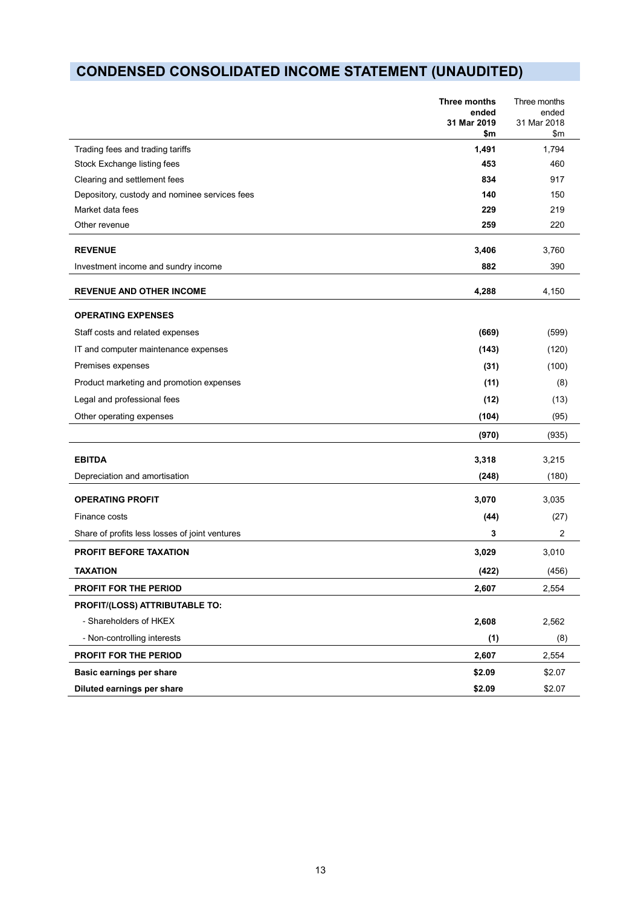# **CONDENSED CONSOLIDATED INCOME STATEMENT (UNAUDITED)**

|                                                | Three months<br>ended<br>31 Mar 2019<br>\$m | Three months<br>ended<br>31 Mar 2018<br>\$m |
|------------------------------------------------|---------------------------------------------|---------------------------------------------|
| Trading fees and trading tariffs               | 1,491                                       | 1,794                                       |
| Stock Exchange listing fees                    | 453                                         | 460                                         |
| Clearing and settlement fees                   | 834                                         | 917                                         |
| Depository, custody and nominee services fees  | 140                                         | 150                                         |
| Market data fees                               | 229                                         | 219                                         |
| Other revenue                                  | 259                                         | 220                                         |
| <b>REVENUE</b>                                 | 3,406                                       | 3,760                                       |
| Investment income and sundry income            | 882                                         | 390                                         |
| <b>REVENUE AND OTHER INCOME</b>                | 4,288                                       | 4,150                                       |
| <b>OPERATING EXPENSES</b>                      |                                             |                                             |
| Staff costs and related expenses               | (669)                                       | (599)                                       |
| IT and computer maintenance expenses           | (143)                                       | (120)                                       |
| Premises expenses                              | (31)                                        | (100)                                       |
| Product marketing and promotion expenses       | (11)                                        | (8)                                         |
| Legal and professional fees                    | (12)                                        | (13)                                        |
| Other operating expenses                       | (104)                                       | (95)                                        |
|                                                | (970)                                       | (935)                                       |
| <b>EBITDA</b>                                  | 3,318                                       | 3,215                                       |
| Depreciation and amortisation                  | (248)                                       | (180)                                       |
| <b>OPERATING PROFIT</b>                        | 3,070                                       | 3,035                                       |
| Finance costs                                  | (44)                                        | (27)                                        |
| Share of profits less losses of joint ventures | 3                                           | $\overline{c}$                              |
| <b>PROFIT BEFORE TAXATION</b>                  | 3,029                                       | 3,010                                       |
| <b>TAXATION</b>                                | (422)                                       | (456)                                       |
| PROFIT FOR THE PERIOD                          | 2,607                                       | 2,554                                       |
| PROFIT/(LOSS) ATTRIBUTABLE TO:                 |                                             |                                             |
| - Shareholders of HKEX                         | 2,608                                       | 2,562                                       |
| - Non-controlling interests                    | (1)                                         | (8)                                         |
| PROFIT FOR THE PERIOD                          | 2,607                                       | 2,554                                       |
| Basic earnings per share                       | \$2.09                                      | \$2.07                                      |
| Diluted earnings per share                     | \$2.09                                      | \$2.07                                      |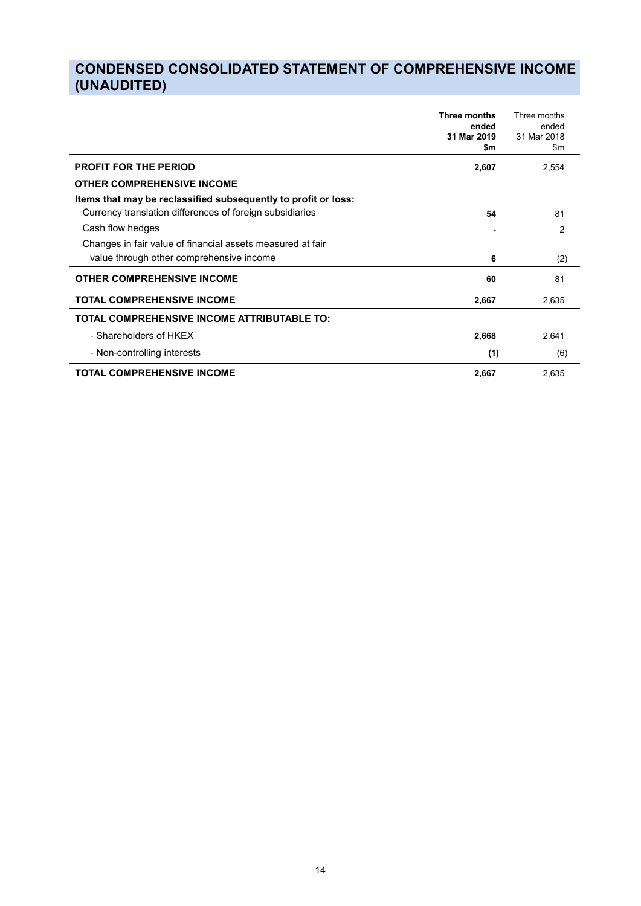## **CONDENSED CONSOLIDATED STATEMENT OF COMPREHENSIVE INCOME (UNAUDITED)**

|                                                                | <b>Three months</b><br>ended<br>31 Mar 2019<br>\$m | Three months<br>ended<br>31 Mar 2018<br>$\mathsf{S}$ m |
|----------------------------------------------------------------|----------------------------------------------------|--------------------------------------------------------|
| <b>PROFIT FOR THE PERIOD</b>                                   | 2,607                                              | 2,554                                                  |
| <b>OTHER COMPREHENSIVE INCOME</b>                              |                                                    |                                                        |
| Items that may be reclassified subsequently to profit or loss: |                                                    |                                                        |
| Currency translation differences of foreign subsidiaries       | 54                                                 | 81                                                     |
| Cash flow hedges                                               |                                                    | 2                                                      |
| Changes in fair value of financial assets measured at fair     |                                                    |                                                        |
| value through other comprehensive income                       | 6                                                  | (2)                                                    |
| <b>OTHER COMPREHENSIVE INCOME</b>                              | 60                                                 | 81                                                     |
| <b>TOTAL COMPREHENSIVE INCOME</b>                              | 2,667                                              | 2,635                                                  |
| TOTAL COMPREHENSIVE INCOME ATTRIBUTABLE TO:                    |                                                    |                                                        |
| - Shareholders of HKEX                                         | 2,668                                              | 2,641                                                  |
| - Non-controlling interests                                    | (1)                                                | (6)                                                    |
| <b>TOTAL COMPREHENSIVE INCOME</b>                              | 2,667                                              | 2,635                                                  |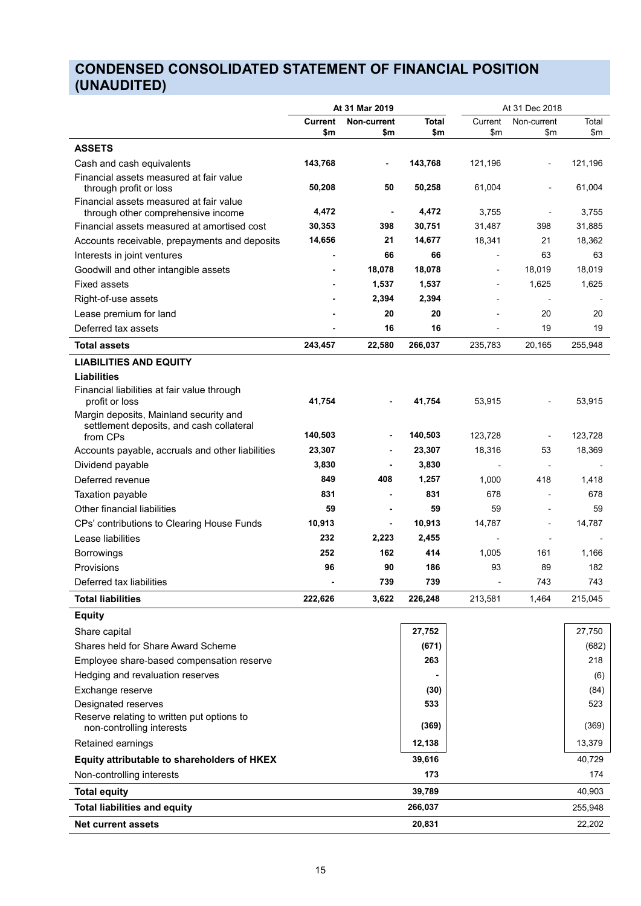## **CONDENSED CONSOLIDATED STATEMENT OF FINANCIAL POSITION (UNAUDITED)**

|                                                                                    | At 31 Mar 2019                       |                  |                          |                          | At 31 Dec 2018      |         |
|------------------------------------------------------------------------------------|--------------------------------------|------------------|--------------------------|--------------------------|---------------------|---------|
|                                                                                    | <b>Current</b><br><b>Non-current</b> |                  | Total                    |                          | Current Non-current | Total   |
|                                                                                    | \$m                                  | \$m              | \$m                      | \$m                      | \$m                 | \$m     |
| <b>ASSETS</b>                                                                      |                                      |                  |                          |                          |                     |         |
| Cash and cash equivalents                                                          | 143,768                              | $\sim$           | 143,768                  | 121,196                  | $\sim$ $-$          | 121,196 |
| Financial assets measured at fair value<br>through profit or loss                  | 50,208                               | 50               | 50,258                   | 61,004                   | $\sim$ $-$          | 61,004  |
| Financial assets measured at fair value<br>through other comprehensive income      | 4,472                                | $\sim$           | 4,472                    | 3,755                    | $\sim$              | 3,755   |
| Financial assets measured at amortised cost                                        | 30,353                               | 398              | 30,751                   | 31,487                   | 398                 | 31,885  |
| Accounts receivable, prepayments and deposits                                      | 14,656                               | 21               | 14,677                   | 18,341                   | 21                  | 18,362  |
| Interests in joint ventures                                                        | $\overline{\phantom{a}}$             | 66               | 66                       | $\overline{\phantom{0}}$ | 63                  | 63      |
| Goodwill and other intangible assets                                               | $\sim$                               | 18,078           | 18,078                   | $\sim$                   | 18,019              | 18,019  |
| Fixed assets                                                                       | $\sim$                               | 1,537            | 1,537                    | $\sim$                   | 1,625               | 1,625   |
| Right-of-use assets                                                                | $\sim$                               | 2,394            | 2,394                    | $\sim$                   | $\sim$              | $\sim$  |
| Lease premium for land                                                             | $\sim$                               | 20               | 20                       | $\sim$                   | 20                  | 20      |
| Deferred tax assets                                                                | . .                                  | 16               | 16                       | $\sim$                   | 19                  | 19      |
| <b>Total assets</b>                                                                | 243,457                              | 22,580           | 266,037                  | 235,783                  | 20,165              | 255,948 |
| <b>LIABILITIES AND EQUITY</b>                                                      |                                      |                  |                          |                          |                     |         |
| <b>Liabilities</b>                                                                 |                                      |                  |                          |                          |                     |         |
| Financial liabilities at fair value through                                        |                                      |                  |                          |                          |                     |         |
| profit or loss                                                                     | 41,754                               | $\sim$           | 41,754                   | 53,915                   | $\sim$              | 53,915  |
| Margin deposits, Mainland security and<br>settlement deposits, and cash collateral |                                      |                  |                          |                          |                     |         |
| from CPs                                                                           | 140,503                              | $\sim$           | 140,503                  | 123,728                  | $\sim$              | 123,728 |
| Accounts payable, accruals and other liabilities                                   | 23,307                               | $\sim$ 100 $\pm$ | 23,307                   | 18,316                   | 53                  | 18,369  |
| Dividend payable                                                                   | 3,830                                | $\sim$           | 3,830                    | $\sim$ $-$               | $\sim$ $-$          | $\sim$  |
| Deferred revenue                                                                   | 849                                  | 408              | 1,257                    | 1,000                    | 418                 | 1,418   |
| Taxation payable                                                                   | 831                                  | $\sim$           | 831                      | 678                      | $\sim$ $-$          | 678     |
| Other financial liabilities                                                        | 59                                   |                  | 59                       | 59                       | $\sim$              | 59      |
| CPs' contributions to Clearing House Funds                                         | 10,913                               | $\sim$           | 10,913                   | 14,787                   | $\sim$ $-$          | 14,787  |
| Lease liabilities                                                                  | 232                                  | 2,223            | 2,455                    | $\sim$                   | $\sim$              |         |
| Borrowings                                                                         | 252                                  | 162              | 414                      | 1,005                    | 161                 | 1,166   |
| Provisions                                                                         | 96                                   | 90               | 186                      | 93                       | 89                  | 182     |
| Deferred tax liabilities                                                           |                                      | 739              | 739                      |                          | 743                 | 743     |
| <b>Total liabilities</b>                                                           | 222,626                              |                  | 3,622 226,248            | 213,581                  | 1,464               | 215,045 |
| <b>Equity</b>                                                                      |                                      |                  |                          |                          |                     |         |
| Share capital                                                                      |                                      |                  | 27,752                   |                          |                     | 27,750  |
| Shares held for Share Award Scheme                                                 |                                      |                  | (671)                    |                          |                     | (682)   |
| Employee share-based compensation reserve                                          |                                      |                  | 263                      |                          |                     | 218     |
| Hedging and revaluation reserves                                                   |                                      |                  | $\overline{\phantom{a}}$ |                          |                     | (6)     |
| Exchange reserve                                                                   |                                      |                  | (30)                     |                          |                     | (84)    |
| Designated reserves                                                                |                                      |                  | 533                      |                          |                     | 523     |
| Reserve relating to written put options to<br>non-controlling interests            |                                      |                  | (369)                    |                          |                     | (369)   |
| Retained earnings                                                                  |                                      |                  | 12,138                   |                          |                     | 13,379  |
| Equity attributable to shareholders of HKEX                                        |                                      |                  | 39,616                   |                          |                     | 40,729  |
| Non-controlling interests                                                          |                                      |                  | 173                      |                          |                     | 174     |
| <b>Total equity</b>                                                                |                                      |                  | 39,789                   |                          |                     | 40,903  |
| <b>Total liabilities and equity</b>                                                |                                      |                  | 266,037                  |                          |                     | 255,948 |
| Net current assets                                                                 |                                      |                  | 20,831                   |                          |                     | 22,202  |
|                                                                                    |                                      |                  |                          |                          |                     |         |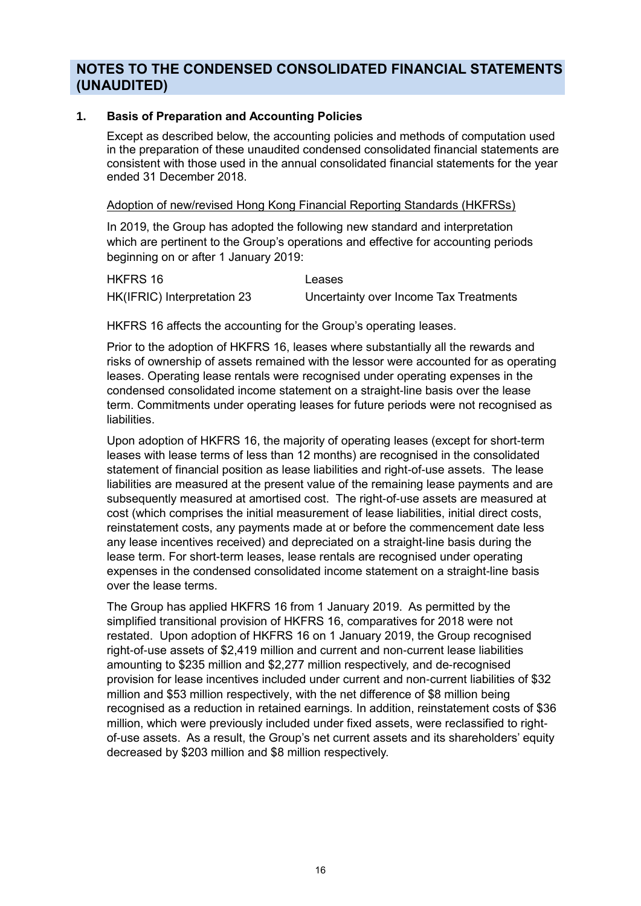## **NOTES TO THE CONDENSED CONSOLIDATED FINANCIAL STATEMENTS (UNAUDITED)**

### **1. Basis of Preparation and Accounting Policies**

Except as described below, the accounting policies and methods of computation used in the preparation of these unaudited condensed consolidated financial statements are consistent with those used in the annual consolidated financial statements for the year ended 31 December 2018.

### Adoption of new/revised Hong Kong Financial Reporting Standards (HKFRSs)

In 2019, the Group has adopted the following new standard and interpretation which are pertinent to the Group's operations and effective for accounting periods beginning on or after 1 January 2019:

| HKFRS 16                    | Leases                                 |
|-----------------------------|----------------------------------------|
| HK(IFRIC) Interpretation 23 | Uncertainty over Income Tax Treatments |

HKFRS 16 affects the accounting for the Group's operating leases.

Prior to the adoption of HKFRS 16, leases where substantially all the rewards and risks of ownership of assets remained with the lessor were accounted for as operating leases. Operating lease rentals were recognised under operating expenses in the condensed consolidated income statement on a straight-line basis over the lease term. Commitments under operating leases for future periods were not recognised as liabilities.

Upon adoption of HKFRS 16, the majority of operating leases (except for short-term leases with lease terms of less than 12 months) are recognised in the consolidated statement of financial position as lease liabilities and right-of-use assets. The lease liabilities are measured at the present value of the remaining lease payments and are subsequently measured at amortised cost. The right-of-use assets are measured at cost (which comprises the initial measurement of lease liabilities, initial direct costs, reinstatement costs, any payments made at or before the commencement date less any lease incentives received) and depreciated on a straight-line basis during the lease term. For short-term leases, lease rentals are recognised under operating expenses in the condensed consolidated income statement on a straight-line basis over the lease terms.

The Group has applied HKFRS 16 from 1 January 2019. As permitted by the simplified transitional provision of HKFRS 16, comparatives for 2018 were not restated. Upon adoption of HKFRS 16 on 1 January 2019, the Group recognised right-of-use assets of \$2,419 million and current and non-current lease liabilities amounting to \$235 million and \$2,277 million respectively, and de-recognised provision for lease incentives included under current and non-current liabilities of \$32 million and \$53 million respectively, with the net difference of \$8 million being recognised as a reduction in retained earnings. In addition, reinstatement costs of \$36 million, which were previously included under fixed assets, were reclassified to rightof-use assets. As a result, the Group's net current assets and its shareholders' equity decreased by \$203 million and \$8 million respectively.